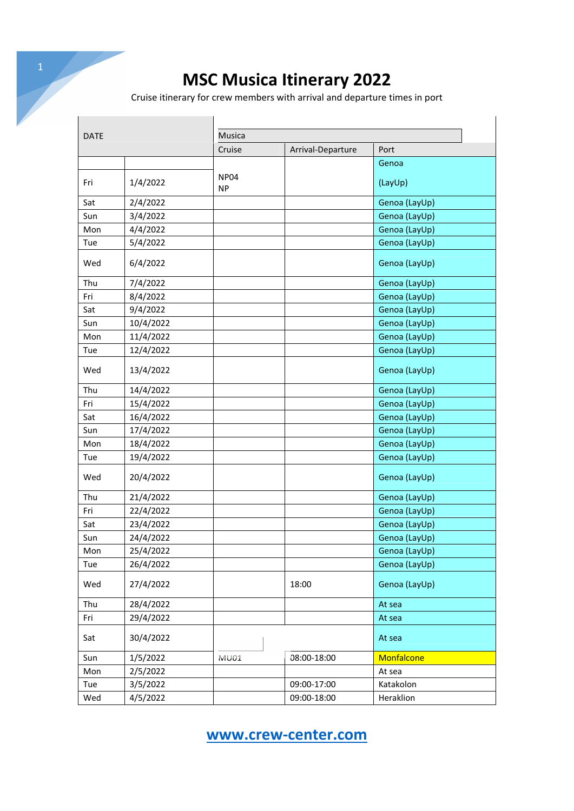Cruise itinerary for crew members with arrival and departure times in port

| <b>DATE</b> |           |                          |                   |               |  |  |  |
|-------------|-----------|--------------------------|-------------------|---------------|--|--|--|
|             |           | Musica                   |                   |               |  |  |  |
|             |           | Cruise                   | Arrival-Departure | Port          |  |  |  |
|             |           |                          |                   | Genoa         |  |  |  |
| Fri         | 1/4/2022  | <b>NP04</b><br><b>NP</b> |                   | (LayUp)       |  |  |  |
| Sat         | 2/4/2022  |                          |                   | Genoa (LayUp) |  |  |  |
| Sun         | 3/4/2022  |                          |                   | Genoa (LayUp) |  |  |  |
| Mon         | 4/4/2022  |                          |                   | Genoa (LayUp) |  |  |  |
| Tue         | 5/4/2022  |                          |                   | Genoa (LayUp) |  |  |  |
| Wed         | 6/4/2022  |                          |                   | Genoa (LayUp) |  |  |  |
| Thu         | 7/4/2022  |                          |                   | Genoa (LayUp) |  |  |  |
| Fri         | 8/4/2022  |                          |                   | Genoa (LayUp) |  |  |  |
| Sat         | 9/4/2022  |                          |                   | Genoa (LayUp) |  |  |  |
| Sun         | 10/4/2022 |                          |                   | Genoa (LayUp) |  |  |  |
| Mon         | 11/4/2022 |                          |                   | Genoa (LayUp) |  |  |  |
| Tue         | 12/4/2022 |                          |                   | Genoa (LayUp) |  |  |  |
| Wed         | 13/4/2022 |                          |                   | Genoa (LayUp) |  |  |  |
| Thu         | 14/4/2022 |                          |                   | Genoa (LayUp) |  |  |  |
| Fri         | 15/4/2022 |                          |                   | Genoa (LayUp) |  |  |  |
| Sat         | 16/4/2022 |                          |                   | Genoa (LayUp) |  |  |  |
| Sun         | 17/4/2022 |                          |                   | Genoa (LayUp) |  |  |  |
| Mon         | 18/4/2022 |                          |                   | Genoa (LayUp) |  |  |  |
| Tue         | 19/4/2022 |                          |                   | Genoa (LayUp) |  |  |  |
| Wed         | 20/4/2022 |                          |                   | Genoa (LayUp) |  |  |  |
| Thu         | 21/4/2022 |                          |                   | Genoa (LayUp) |  |  |  |
| Fri         | 22/4/2022 |                          |                   | Genoa (LayUp) |  |  |  |
| Sat         | 23/4/2022 |                          |                   | Genoa (LayUp) |  |  |  |
| Sun         | 24/4/2022 |                          |                   | Genoa (LayUp) |  |  |  |
| Mon         | 25/4/2022 |                          |                   | Genoa (LayUp) |  |  |  |
| Tue         | 26/4/2022 |                          |                   | Genoa (LayUp) |  |  |  |
| Wed         | 27/4/2022 |                          | 18:00             | Genoa (LayUp) |  |  |  |
| Thu         | 28/4/2022 |                          |                   | At sea        |  |  |  |
| Fri         | 29/4/2022 |                          |                   | At sea        |  |  |  |
| Sat         | 30/4/2022 |                          |                   | At sea        |  |  |  |
| Sun         | 1/5/2022  | <b>MU01</b>              | 08:00-18:00       | Monfalcone    |  |  |  |
| Mon         | 2/5/2022  |                          |                   | At sea        |  |  |  |
| Tue         | 3/5/2022  |                          | 09:00-17:00       | Katakolon     |  |  |  |
| Wed         | 4/5/2022  |                          | 09:00-18:00       | Heraklion     |  |  |  |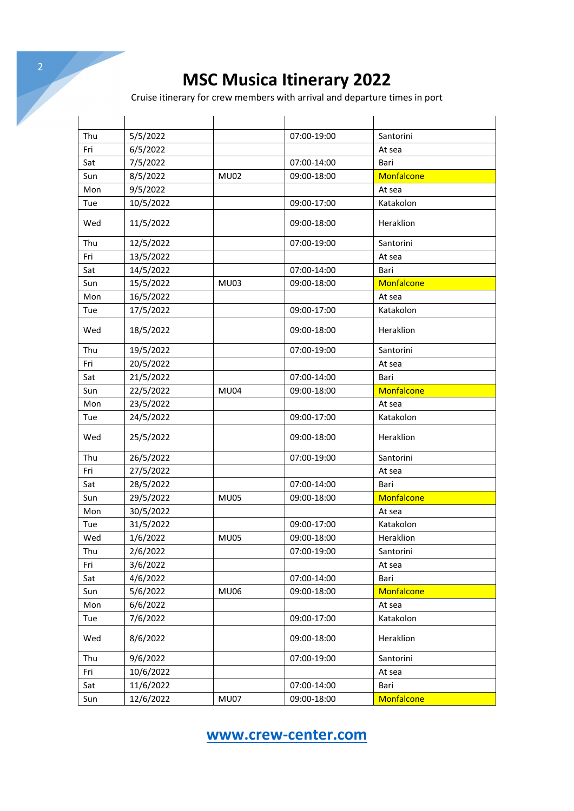|     |           |             | <b>MSC Musica Itinerary 2022</b>                                           |            |
|-----|-----------|-------------|----------------------------------------------------------------------------|------------|
|     |           |             |                                                                            |            |
|     |           |             | Cruise itinerary for crew members with arrival and departure times in port |            |
|     |           |             |                                                                            |            |
| Thu | 5/5/2022  |             | 07:00-19:00                                                                | Santorini  |
| Fri | 6/5/2022  |             |                                                                            | At sea     |
| Sat | 7/5/2022  |             | 07:00-14:00                                                                | Bari       |
| Sun | 8/5/2022  | <b>MU02</b> | 09:00-18:00                                                                | Monfalcone |
| Mon | 9/5/2022  |             |                                                                            | At sea     |
| Tue | 10/5/2022 |             | 09:00-17:00                                                                | Katakolon  |
|     |           |             |                                                                            |            |
| Wed | 11/5/2022 |             | 09:00-18:00                                                                | Heraklion  |
| Thu | 12/5/2022 |             | 07:00-19:00                                                                | Santorini  |
| Fri | 13/5/2022 |             |                                                                            | At sea     |
| Sat | 14/5/2022 |             | 07:00-14:00                                                                | Bari       |
| Sun | 15/5/2022 | <b>MU03</b> | 09:00-18:00                                                                | Monfalcone |
| Mon | 16/5/2022 |             |                                                                            | At sea     |
| Tue | 17/5/2022 |             | 09:00-17:00                                                                | Katakolon  |
| Wed | 18/5/2022 |             | 09:00-18:00                                                                | Heraklion  |
| Thu | 19/5/2022 |             | 07:00-19:00                                                                | Santorini  |
| Fri | 20/5/2022 |             |                                                                            | At sea     |
| Sat | 21/5/2022 |             | 07:00-14:00                                                                | Bari       |
| Sun | 22/5/2022 | <b>MU04</b> | 09:00-18:00                                                                | Monfalcone |
| Mon | 23/5/2022 |             |                                                                            | At sea     |
| Tue | 24/5/2022 |             | 09:00-17:00                                                                | Katakolon  |
| Wed | 25/5/2022 |             | 09:00-18:00                                                                | Heraklion  |
| Thu | 26/5/2022 |             | 07:00-19:00                                                                | Santorini  |
| Fri | 27/5/2022 |             |                                                                            | At sea     |
| Sat | 28/5/2022 |             | 07:00-14:00                                                                | Bari       |
| Sun | 29/5/2022 | <b>MU05</b> | 09:00-18:00                                                                | Monfalcone |
| Mon | 30/5/2022 |             |                                                                            | At sea     |
| Tue | 31/5/2022 |             | 09:00-17:00                                                                | Katakolon  |
| Wed | 1/6/2022  | <b>MU05</b> | 09:00-18:00                                                                | Heraklion  |
| Thu | 2/6/2022  |             | 07:00-19:00                                                                | Santorini  |
| Fri | 3/6/2022  |             |                                                                            | At sea     |
| Sat | 4/6/2022  |             | 07:00-14:00                                                                | Bari       |
| Sun | 5/6/2022  | MU06        | 09:00-18:00                                                                | Monfalcone |
| Mon | 6/6/2022  |             |                                                                            | At sea     |
| Tue | 7/6/2022  |             | 09:00-17:00                                                                | Katakolon  |
| Wed | 8/6/2022  |             | 09:00-18:00                                                                | Heraklion  |
| Thu | 9/6/2022  |             | 07:00-19:00                                                                | Santorini  |
| Fri | 10/6/2022 |             |                                                                            | At sea     |
| Sat | 11/6/2022 |             | 07:00-14:00                                                                | Bari       |
|     |           |             |                                                                            |            |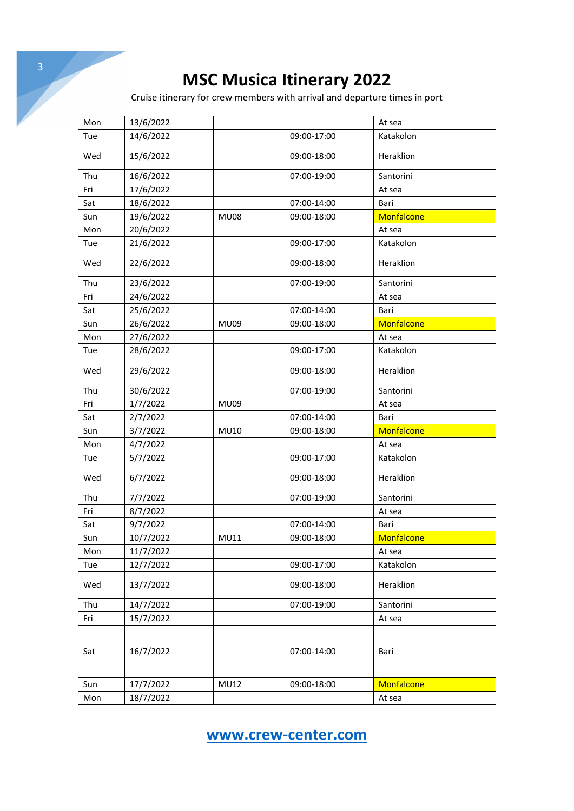Cruise itinerary for crew members with arrival and departure times in port

| Mon | 13/6/2022 |             |             | At sea     |
|-----|-----------|-------------|-------------|------------|
| Tue | 14/6/2022 |             | 09:00-17:00 | Katakolon  |
| Wed | 15/6/2022 |             | 09:00-18:00 | Heraklion  |
| Thu | 16/6/2022 |             | 07:00-19:00 | Santorini  |
| Fri | 17/6/2022 |             |             | At sea     |
| Sat | 18/6/2022 |             | 07:00-14:00 | Bari       |
| Sun | 19/6/2022 | <b>MU08</b> | 09:00-18:00 | Monfalcone |
| Mon | 20/6/2022 |             |             | At sea     |
| Tue | 21/6/2022 |             | 09:00-17:00 | Katakolon  |
| Wed | 22/6/2022 |             | 09:00-18:00 | Heraklion  |
| Thu | 23/6/2022 |             | 07:00-19:00 | Santorini  |
| Fri | 24/6/2022 |             |             | At sea     |
| Sat | 25/6/2022 |             | 07:00-14:00 | Bari       |
| Sun | 26/6/2022 | <b>MU09</b> | 09:00-18:00 | Monfalcone |
| Mon | 27/6/2022 |             |             | At sea     |
| Tue | 28/6/2022 |             | 09:00-17:00 | Katakolon  |
| Wed | 29/6/2022 |             | 09:00-18:00 | Heraklion  |
| Thu | 30/6/2022 |             | 07:00-19:00 | Santorini  |
| Fri | 1/7/2022  | <b>MU09</b> |             | At sea     |
| Sat | 2/7/2022  |             | 07:00-14:00 | Bari       |
| Sun | 3/7/2022  | MU10        | 09:00-18:00 | Monfalcone |
| Mon | 4/7/2022  |             |             | At sea     |
| Tue | 5/7/2022  |             | 09:00-17:00 | Katakolon  |
| Wed | 6/7/2022  |             | 09:00-18:00 | Heraklion  |
| Thu | 7/7/2022  |             | 07:00-19:00 | Santorini  |
| Fri | 8/7/2022  |             |             | At sea     |
| Sat | 9/7/2022  |             | 07:00-14:00 | Bari       |
| Sun | 10/7/2022 | <b>MU11</b> | 09:00-18:00 | Monfalcone |
| Mon | 11/7/2022 |             |             | At sea     |
| Tue | 12/7/2022 |             | 09:00-17:00 | Katakolon  |
| Wed | 13/7/2022 |             | 09:00-18:00 | Heraklion  |
| Thu | 14/7/2022 |             | 07:00-19:00 | Santorini  |
| Fri | 15/7/2022 |             |             | At sea     |
| Sat | 16/7/2022 |             | 07:00-14:00 | Bari       |
| Sun | 17/7/2022 | <b>MU12</b> | 09:00-18:00 | Monfalcone |
| Mon | 18/7/2022 |             |             | At sea     |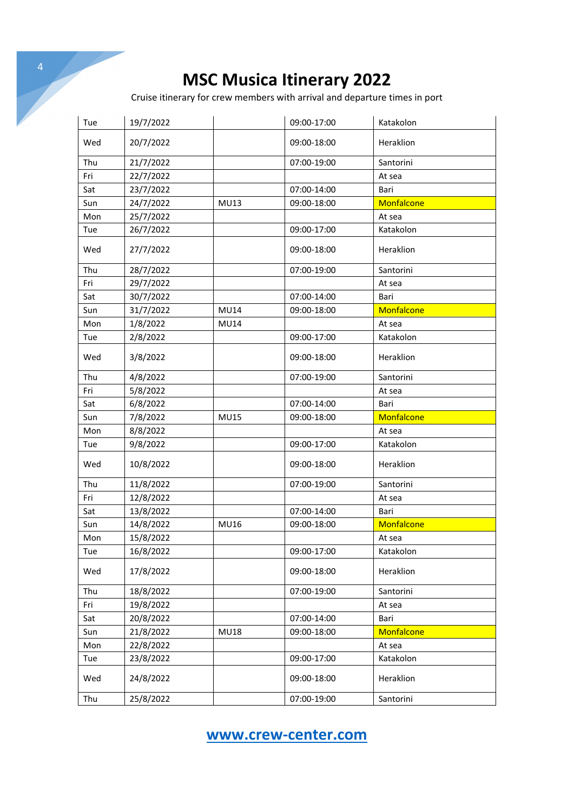| $\overline{4}$ |            |           |             |                                                                            |                    |
|----------------|------------|-----------|-------------|----------------------------------------------------------------------------|--------------------|
|                |            |           |             | <b>MSC Musica Itinerary 2022</b>                                           |                    |
|                |            |           |             | Cruise itinerary for crew members with arrival and departure times in port |                    |
|                |            |           |             |                                                                            |                    |
|                | Tue        | 19/7/2022 |             | 09:00-17:00                                                                | Katakolon          |
|                | Wed        | 20/7/2022 |             | 09:00-18:00                                                                | Heraklion          |
|                | Thu        | 21/7/2022 |             | 07:00-19:00                                                                | Santorini          |
|                | Fri        | 22/7/2022 |             |                                                                            | At sea             |
|                | Sat        | 23/7/2022 |             | 07:00-14:00                                                                | Bari               |
|                | Sun        | 24/7/2022 | MU13        | 09:00-18:00                                                                | Monfalcone         |
|                | Mon        | 25/7/2022 |             |                                                                            | At sea             |
|                | Tue        | 26/7/2022 |             | 09:00-17:00                                                                | Katakolon          |
|                | Wed        | 27/7/2022 |             | 09:00-18:00                                                                | Heraklion          |
|                | Thu        | 28/7/2022 |             | 07:00-19:00                                                                | Santorini          |
|                | Fri        | 29/7/2022 |             |                                                                            | At sea             |
|                | Sat        | 30/7/2022 |             | 07:00-14:00                                                                | Bari               |
|                | Sun        | 31/7/2022 | <b>MU14</b> | 09:00-18:00                                                                | Monfalcone         |
|                | Mon        | 1/8/2022  | <b>MU14</b> |                                                                            | At sea             |
|                | Tue        | 2/8/2022  |             | 09:00-17:00                                                                | Katakolon          |
|                | Wed        | 3/8/2022  |             | 09:00-18:00                                                                | Heraklion          |
|                | Thu        | 4/8/2022  |             | 07:00-19:00                                                                | Santorini          |
|                | Fri        | 5/8/2022  |             |                                                                            | At sea             |
|                | Sat        | 6/8/2022  |             | 07:00-14:00                                                                | Bari               |
|                | Sun        | 7/8/2022  | <b>MU15</b> | 09:00-18:00                                                                | Monfalcone         |
|                | Mon        | 8/8/2022  |             |                                                                            | At sea             |
|                | Tue        | 9/8/2022  |             | 09:00-17:00                                                                | Katakolon          |
|                | Wed        | 10/8/2022 |             | 09:00-18:00                                                                | Heraklion          |
|                |            |           |             |                                                                            | Santorini          |
|                | Thu<br>Fri | 11/8/2022 |             | 07:00-19:00                                                                |                    |
|                |            | 12/8/2022 |             |                                                                            | At sea             |
|                | Sat        | 13/8/2022 |             | 07:00-14:00                                                                | Bari<br>Monfalcone |
|                | Sun        | 14/8/2022 | MU16        | 09:00-18:00                                                                |                    |
|                | Mon        | 15/8/2022 |             |                                                                            | At sea             |
|                | Tue        | 16/8/2022 |             | 09:00-17:00                                                                | Katakolon          |
|                | Wed        | 17/8/2022 |             | 09:00-18:00                                                                | Heraklion          |
|                | Thu        | 18/8/2022 |             | 07:00-19:00                                                                | Santorini          |
|                | Fri        | 19/8/2022 |             |                                                                            | At sea             |
|                | Sat        | 20/8/2022 |             | 07:00-14:00                                                                | Bari               |
|                | Sun        | 21/8/2022 | <b>MU18</b> | 09:00-18:00                                                                | Monfalcone         |
|                | Mon        | 22/8/2022 |             |                                                                            | At sea             |
|                | Tue        | 23/8/2022 |             | 09:00-17:00                                                                | Katakolon          |
|                | Wed        | 24/8/2022 |             | 09:00-18:00                                                                | Heraklion          |
|                | Thu        | 25/8/2022 |             | 07:00-19:00                                                                | Santorini          |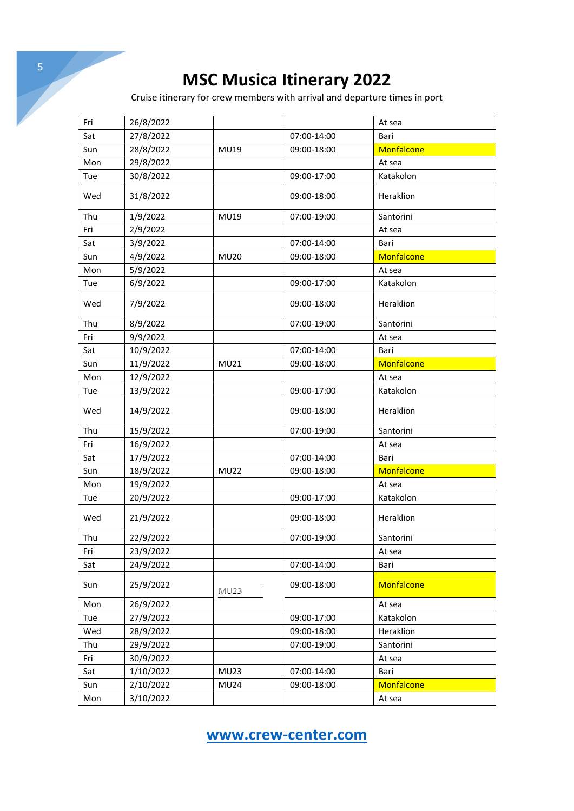Cruise itinerary for crew members with arrival and departure times in port

| Fri | 26/8/2022 |             |             | At sea     |
|-----|-----------|-------------|-------------|------------|
| Sat | 27/8/2022 |             | 07:00-14:00 | Bari       |
| Sun | 28/8/2022 | MU19        | 09:00-18:00 | Monfalcone |
| Mon | 29/8/2022 |             |             | At sea     |
| Tue | 30/8/2022 |             | 09:00-17:00 | Katakolon  |
| Wed | 31/8/2022 |             | 09:00-18:00 | Heraklion  |
| Thu | 1/9/2022  | MU19        | 07:00-19:00 | Santorini  |
| Fri | 2/9/2022  |             |             | At sea     |
| Sat | 3/9/2022  |             | 07:00-14:00 | Bari       |
| Sun | 4/9/2022  | <b>MU20</b> | 09:00-18:00 | Monfalcone |
| Mon | 5/9/2022  |             |             | At sea     |
| Tue | 6/9/2022  |             | 09:00-17:00 | Katakolon  |
| Wed | 7/9/2022  |             | 09:00-18:00 | Heraklion  |
| Thu | 8/9/2022  |             | 07:00-19:00 | Santorini  |
| Fri | 9/9/2022  |             |             | At sea     |
| Sat | 10/9/2022 |             | 07:00-14:00 | Bari       |
| Sun | 11/9/2022 | MU21        | 09:00-18:00 | Monfalcone |
| Mon | 12/9/2022 |             |             | At sea     |
| Tue | 13/9/2022 |             | 09:00-17:00 | Katakolon  |
| Wed | 14/9/2022 |             | 09:00-18:00 | Heraklion  |
| Thu | 15/9/2022 |             | 07:00-19:00 | Santorini  |
| Fri | 16/9/2022 |             |             | At sea     |
| Sat | 17/9/2022 |             | 07:00-14:00 | Bari       |
| Sun | 18/9/2022 | <b>MU22</b> | 09:00-18:00 | Monfalcone |
| Mon | 19/9/2022 |             |             | At sea     |
| Tue | 20/9/2022 |             | 09:00-17:00 | Katakolon  |
| Wed | 21/9/2022 |             | 09:00-18:00 | Heraklion  |
| Thu | 22/9/2022 |             | 07:00-19:00 | Santorini  |
| Fri | 23/9/2022 |             |             | At sea     |
| Sat | 24/9/2022 |             | 07:00-14:00 | Bari       |
| Sun | 25/9/2022 | <b>MU23</b> | 09:00-18:00 | Monfalcone |
| Mon | 26/9/2022 |             |             | At sea     |
| Tue | 27/9/2022 |             | 09:00-17:00 | Katakolon  |
| Wed | 28/9/2022 |             | 09:00-18:00 | Heraklion  |
| Thu | 29/9/2022 |             | 07:00-19:00 | Santorini  |
| Fri | 30/9/2022 |             |             | At sea     |
| Sat | 1/10/2022 | <b>MU23</b> | 07:00-14:00 | Bari       |
| Sun | 2/10/2022 | <b>MU24</b> | 09:00-18:00 | Monfalcone |
| Mon | 3/10/2022 |             |             | At sea     |

**www.crew-center.com**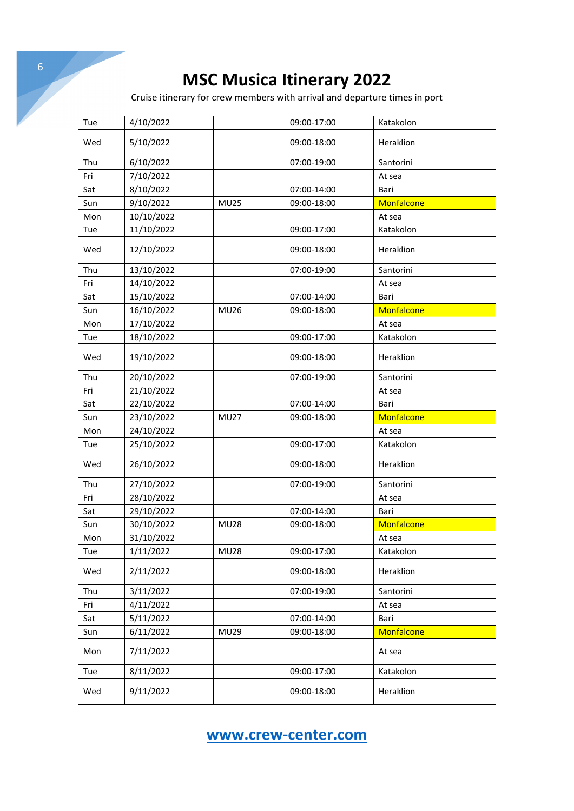Cruise itinerary for crew members with arrival and departure times in port

| Tue | 4/10/2022  |             | 09:00-17:00 | Katakolon  |
|-----|------------|-------------|-------------|------------|
| Wed | 5/10/2022  |             | 09:00-18:00 | Heraklion  |
| Thu | 6/10/2022  |             | 07:00-19:00 | Santorini  |
| Fri | 7/10/2022  |             |             | At sea     |
| Sat | 8/10/2022  |             | 07:00-14:00 | Bari       |
| Sun | 9/10/2022  | <b>MU25</b> | 09:00-18:00 | Monfalcone |
| Mon | 10/10/2022 |             |             | At sea     |
| Tue | 11/10/2022 |             | 09:00-17:00 | Katakolon  |
| Wed | 12/10/2022 |             | 09:00-18:00 | Heraklion  |
| Thu | 13/10/2022 |             | 07:00-19:00 | Santorini  |
| Fri | 14/10/2022 |             |             | At sea     |
| Sat | 15/10/2022 |             | 07:00-14:00 | Bari       |
| Sun | 16/10/2022 | <b>MU26</b> | 09:00-18:00 | Monfalcone |
| Mon | 17/10/2022 |             |             | At sea     |
| Tue | 18/10/2022 |             | 09:00-17:00 | Katakolon  |
| Wed | 19/10/2022 |             | 09:00-18:00 | Heraklion  |
| Thu | 20/10/2022 |             | 07:00-19:00 | Santorini  |
| Fri | 21/10/2022 |             |             | At sea     |
| Sat | 22/10/2022 |             | 07:00-14:00 | Bari       |
| Sun | 23/10/2022 | <b>MU27</b> | 09:00-18:00 | Monfalcone |
| Mon | 24/10/2022 |             |             | At sea     |
| Tue | 25/10/2022 |             | 09:00-17:00 | Katakolon  |
|     |            |             |             |            |
| Wed | 26/10/2022 |             | 09:00-18:00 | Heraklion  |
| Thu | 27/10/2022 |             | 07:00-19:00 | Santorini  |
| Fri | 28/10/2022 |             |             | At sea     |
| Sat | 29/10/2022 |             | 07:00-14:00 | Bari       |
| Sun | 30/10/2022 | <b>MU28</b> | 09:00-18:00 | Monfalcone |
| Mon | 31/10/2022 |             |             | At sea     |
| Tue | 1/11/2022  | <b>MU28</b> | 09:00-17:00 | Katakolon  |
| Wed | 2/11/2022  |             | 09:00-18:00 | Heraklion  |
| Thu | 3/11/2022  |             | 07:00-19:00 | Santorini  |
| Fri | 4/11/2022  |             |             | At sea     |
| Sat | 5/11/2022  |             | 07:00-14:00 | Bari       |
| Sun | 6/11/2022  | <b>MU29</b> | 09:00-18:00 | Monfalcone |
| Mon | 7/11/2022  |             |             | At sea     |
| Tue | 8/11/2022  |             | 09:00-17:00 | Katakolon  |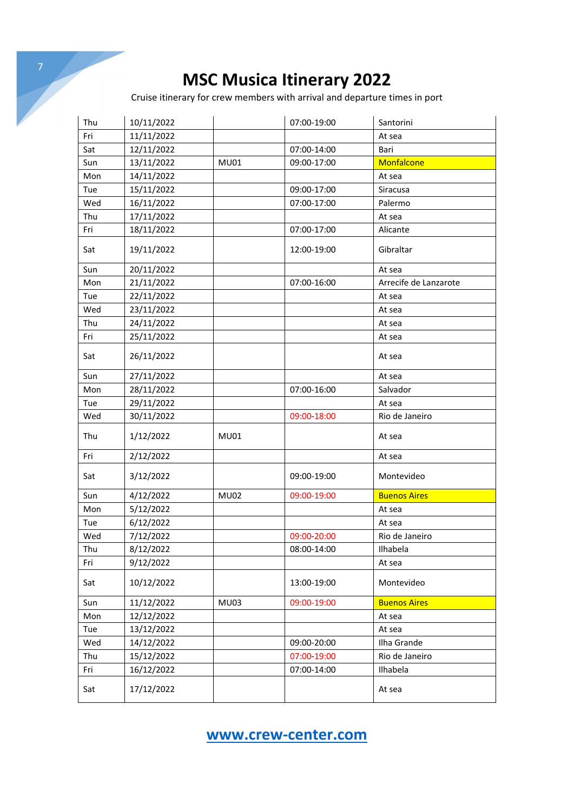Cruise itinerary for crew members with arrival and departure times in port

| Thu | 10/11/2022 |             | 07:00-19:00 | Santorini             |
|-----|------------|-------------|-------------|-----------------------|
| Fri | 11/11/2022 |             |             | At sea                |
| Sat | 12/11/2022 |             | 07:00-14:00 | Bari                  |
| Sun | 13/11/2022 | <b>MU01</b> | 09:00-17:00 | Monfalcone            |
| Mon | 14/11/2022 |             |             | At sea                |
| Tue | 15/11/2022 |             | 09:00-17:00 | Siracusa              |
| Wed | 16/11/2022 |             | 07:00-17:00 | Palermo               |
| Thu | 17/11/2022 |             |             | At sea                |
| Fri | 18/11/2022 |             | 07:00-17:00 | Alicante              |
| Sat | 19/11/2022 |             | 12:00-19:00 | Gibraltar             |
| Sun | 20/11/2022 |             |             | At sea                |
| Mon | 21/11/2022 |             | 07:00-16:00 | Arrecife de Lanzarote |
| Tue | 22/11/2022 |             |             | At sea                |
| Wed | 23/11/2022 |             |             | At sea                |
| Thu | 24/11/2022 |             |             | At sea                |
| Fri | 25/11/2022 |             |             | At sea                |
| Sat | 26/11/2022 |             |             | At sea                |
| Sun | 27/11/2022 |             |             | At sea                |
| Mon | 28/11/2022 |             | 07:00-16:00 | Salvador              |
| Tue | 29/11/2022 |             |             | At sea                |
| Wed | 30/11/2022 |             | 09:00-18:00 | Rio de Janeiro        |
| Thu | 1/12/2022  | <b>MU01</b> |             | At sea                |
| Fri | 2/12/2022  |             |             | At sea                |
| Sat | 3/12/2022  |             | 09:00-19:00 | Montevideo            |
| Sun | 4/12/2022  | <b>MU02</b> | 09:00-19:00 | <b>Buenos Aires</b>   |
| Mon | 5/12/2022  |             |             | At sea                |
| Tue | 6/12/2022  |             |             | At sea                |
| Wed | 7/12/2022  |             | 09:00-20:00 | Rio de Janeiro        |
| Thu | 8/12/2022  |             | 08:00-14:00 | Ilhabela              |
| Fri | 9/12/2022  |             |             | At sea                |
| Sat | 10/12/2022 |             | 13:00-19:00 | Montevideo            |
| Sun | 11/12/2022 | <b>MU03</b> | 09:00-19:00 | <b>Buenos Aires</b>   |
| Mon | 12/12/2022 |             |             | At sea                |
| Tue | 13/12/2022 |             |             | At sea                |
| Wed | 14/12/2022 |             | 09:00-20:00 | Ilha Grande           |
| Thu | 15/12/2022 |             | 07:00-19:00 | Rio de Janeiro        |
| Fri | 16/12/2022 |             | 07:00-14:00 | Ilhabela              |
| Sat | 17/12/2022 |             |             | At sea                |